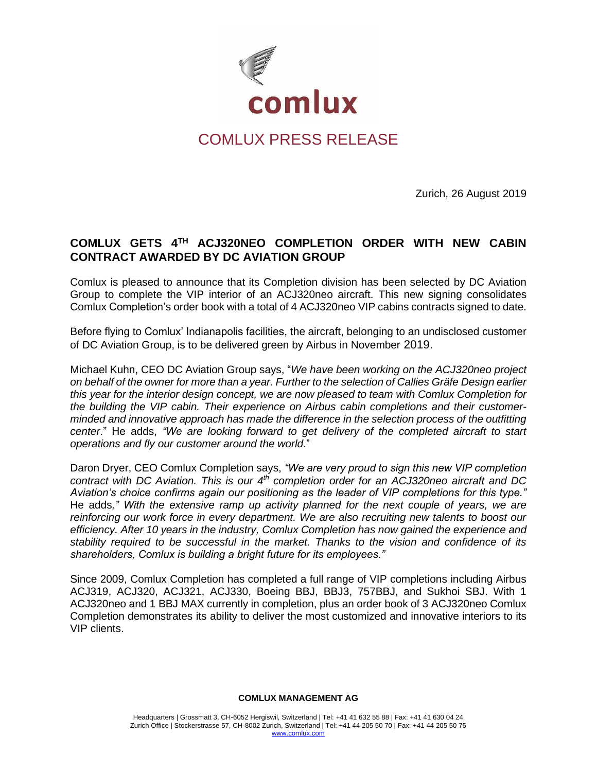

# COMLUX PRESS RELEASE

Zurich, 26 August 2019

## **COMLUX GETS 4TH ACJ320NEO COMPLETION ORDER WITH NEW CABIN CONTRACT AWARDED BY DC AVIATION GROUP**

Comlux is pleased to announce that its Completion division has been selected by DC Aviation Group to complete the VIP interior of an ACJ320neo aircraft. This new signing consolidates Comlux Completion's order book with a total of 4 ACJ320neo VIP cabins contracts signed to date.

Before flying to Comlux' Indianapolis facilities, the aircraft, belonging to an undisclosed customer of DC Aviation Group, is to be delivered green by Airbus in November 2019.

Michael Kuhn, CEO DC Aviation Group says, "*We have been working on the ACJ320neo project on behalf of the owner for more than a year. Further to the selection of Callies Gräfe Design earlier this year for the interior design concept, we are now pleased to team with Comlux Completion for the building the VIP cabin. Their experience on Airbus cabin completions and their customerminded and innovative approach has made the difference in the selection process of the outfitting center*." He adds, *"We are looking forward to get delivery of the completed aircraft to start operations and fly our customer around the world.*"

Daron Dryer, CEO Comlux Completion says, *"We are very proud to sign this new VIP completion contract with DC Aviation. This is our 4th completion order for an ACJ320neo aircraft and DC Aviation's choice confirms again our positioning as the leader of VIP completions for this type."*  He adds*," With the extensive ramp up activity planned for the next couple of years, we are reinforcing our work force in every department. We are also recruiting new talents to boost our efficiency. After 10 years in the industry, Comlux Completion has now gained the experience and stability required to be successful in the market. Thanks to the vision and confidence of its shareholders, Comlux is building a bright future for its employees."* 

Since 2009, Comlux Completion has completed a full range of VIP completions including Airbus ACJ319, ACJ320, ACJ321, ACJ330, Boeing BBJ, BBJ3, 757BBJ, and Sukhoi SBJ. With 1 ACJ320neo and 1 BBJ MAX currently in completion, plus an order book of 3 ACJ320neo Comlux Completion demonstrates its ability to deliver the most customized and innovative interiors to its VIP clients.

#### **COMLUX MANAGEMENT AG**